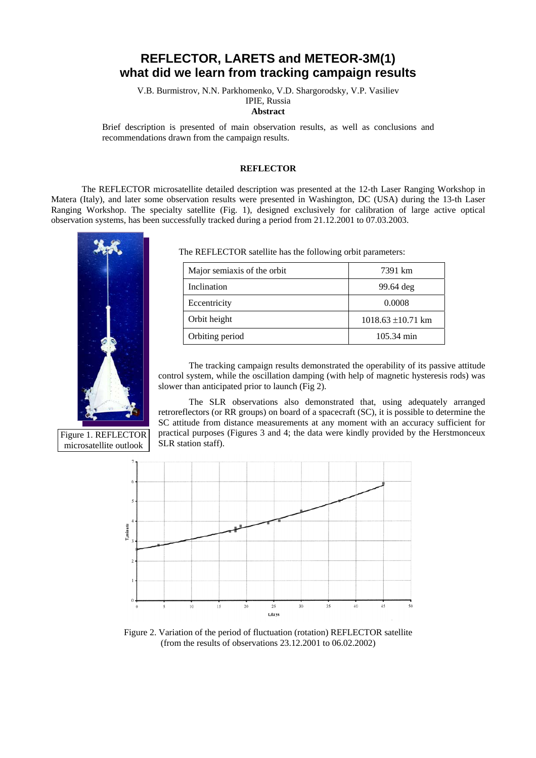## **REFLECTOR, LARETS and METEOR-3M(1) what did we learn from tracking campaign results**

V.B. Burmistrov, N.N. Parkhomenko, V.D. Shargorodsky, V.P. Vasiliev

IPIE, Russia

**Abstract**

Brief description is presented of main observation results, as well as conclusions and recommendations drawn from the campaign results.

## **REFLECTOR**

The REFLECTOR microsatellite detailed description was presented at the 12-th Laser Ranging Workshop in Matera (Italy), and later some observation results were presented in Washington, DC (USA) during the 13-th Laser Ranging Workshop. The specialty satellite (Fig. 1), designed exclusively for calibration of large active optical observation systems, has been successfully tracked during a period from 21.12.2001 to 07.03.2003.



microsatellite outlook

The REFLECTOR satellite has the following orbit parameters:

| Major semiaxis of the orbit | 7391 km                |
|-----------------------------|------------------------|
| Inclination                 | 99.64 deg              |
| Eccentricity                | 0.0008                 |
| Orbit height                | $1018.63 \pm 10.71$ km |
| Orbiting period             | 105.34 min             |

The tracking campaign results demonstrated the operability of its passive attitude control system, while the oscillation damping (with help of magnetic hysteresis rods) was slower than anticipated prior to launch (Fig 2).

The SLR observations also demonstrated that, using adequately arranged retroreflectors (or RR groups) on board of a spacecraft (SC), it is possible to determine the SC attitude from distance measurements at any moment with an accuracy sufficient for practical purposes (Figures 3 and 4; the data were kindly provided by the Herstmonceux SLR station staff).



Figure 2. Variation of the period of fluctuation (rotation) REFLECTOR satellite (from the results of observations 23.12.2001 to 06.02.2002)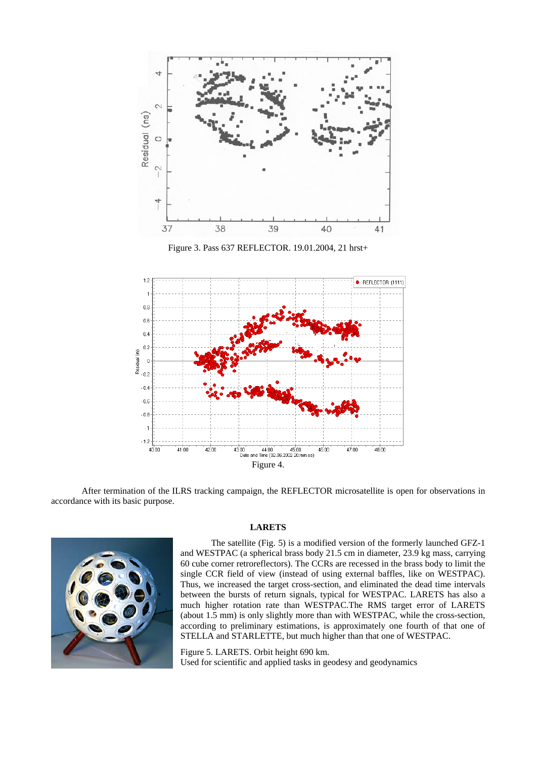

Figure 3. Pass 637 REFLECTOR. 19.01.2004, 21 hrst+



After termination of the ILRS tracking campaign, the REFLECTOR microsatellite is open for observations in accordance with its basic purpose.



## **LARETS**

The satellite (Fig. 5) is a modified version of the formerly launched GFZ-1 and WESTPAC (a spherical brass body 21.5 cm in diameter, 23.9 kg mass, carrying 60 cube corner retroreflectors). The CCRs are recessed in the brass body to limit the single CCR field of view (instead of using external baffles, like on WESTPAC). Thus, we increased the target cross-section, and eliminated the dead time intervals between the bursts of return signals, typical for WESTPAC. LARETS has also a much higher rotation rate than WESTPAC.The RMS target error of LARETS (about 1.5 mm) is only slightly more than with WESTPAC, while the cross-section, according to preliminary estimations, is approximately one fourth of that one of STELLA and STARLETTE, but much higher than that one of WESTPAC.

Figure 5. LARETS. Orbit height 690 km. Used for scientific and applied tasks in geodesy and geodynamics